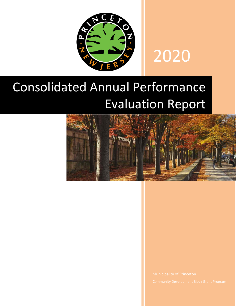

# 2020

## Consolidated Annual Performance Evaluation Report

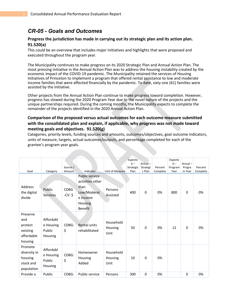## *CR-05 - Goals and Outcomes*

## **Progress the jurisdiction has made in carrying out its strategic plan and its action plan. 91.520(a)**

This could be an overview that includes major initiatives and highlights that were proposed and executed throughout the program year.

The Municipality continues to make progress on its 2020 Strategic Plan and Annual Action Plan. The most pressing initiative in the Annual Action Plan was to address the housing instability created by the economic impact of the COVID-19 pandemic. The Municipality retained the services of Housing Initiatives of Princeton to implement a program that offered rental assistance to low and moderate income families that were affected financially by the pandemic. To date, sixty one (61) families were assisted by the initiative.

Other projects from the Annual Action Plan continue to make progress toward completion. However, progress has slowed during the 2020 Program Year due to the novel nature of the projects and the unique partnerships required. During the coming months, the Municipality expects to complete the remainder of the projects identified in the 2020 Annual Action Plan.

## **Comparison of the proposed versus actual outcomes for each outcome measure submitted with the consolidated plan and explain, if applicable, why progress was not made toward meeting goals and objectives. 91.520(g)**

Categories, priority levels, funding sources and amounts, outcomes/objectives, goal outcome indicators, units of measure, targets, actual outcomes/outputs, and percentage completed for each of the grantee's program year goals.

|                                                                 |                                             |                  |                                                                                                           |                              | Expecte   |          |          | Expecte |          |          |
|-----------------------------------------------------------------|---------------------------------------------|------------------|-----------------------------------------------------------------------------------------------------------|------------------------------|-----------|----------|----------|---------|----------|----------|
|                                                                 |                                             |                  |                                                                                                           |                              | $d -$     | Actual-  |          | $d -$   | Actual-  |          |
|                                                                 |                                             | Source /         |                                                                                                           |                              | Strategic | Strategi | Percent  | Program | Progra   | Percent  |
| Goal                                                            | Category                                    | Amount           | Indicator                                                                                                 | <b>Unit of Measure</b>       | Plan      | c Plan   | Complete | Year    | m Year   | Complete |
| <b>Address</b><br>the digital<br>divide                         | Public<br><b>Services</b>                   | CDBG<br>$-CV: $$ | Public service<br>activities other<br>than<br>Low/Moderat<br>e Income<br><b>Housing</b><br><b>Benefit</b> | Persons<br>Assisted          | 400       | $\Omega$ | 0%       | 800     | 0        | 0%       |
| Preserve<br>and<br>protect<br>existing<br>affordable<br>housing | Affordabl<br>e Housing<br>Public<br>Housing | CDBG:<br>\$      | Rental units<br>rehabilitated                                                                             | Household<br>Housing<br>Unit | 50        | 0        | 0%       | 12      | 0        | 0%       |
| Promote<br>diversity in<br>housing<br>stock and<br>population   | Affordabl<br>e Housing<br>Public<br>Housing | CDBG:<br>\$      | Homeowner<br>Housing<br>Added                                                                             | Household<br>Housing<br>Unit | 10        | $\Omega$ | 0%       |         |          |          |
| Provide a                                                       | Public                                      | CDBG:            | Public service                                                                                            | Persons                      | 300       | $\Omega$ | 0%       |         | $\Omega$ | 0%       |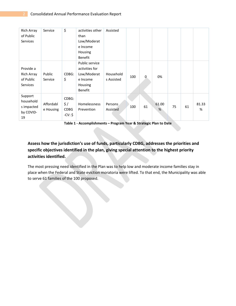| <b>Rich Array</b><br>of Public<br><b>Services</b>       | Service                | \$                                      | activities other<br>than<br>Low/Moderat<br>e Income<br>Housing<br><b>Benefit</b>         | Assisted                |     |    |            |    |    |            |
|---------------------------------------------------------|------------------------|-----------------------------------------|------------------------------------------------------------------------------------------|-------------------------|-----|----|------------|----|----|------------|
| Provide a<br>Rich Array<br>of Public<br><b>Services</b> | Public<br>Service      | CDBG:<br>\$                             | Public service<br>activities for<br>Low/Moderat<br>e Income<br>Housing<br><b>Benefit</b> | Household<br>s Assisted | 100 | 0  | 0%         |    |    |            |
| Support<br>household<br>s impacted<br>by COVID-<br>19   | Affordabl<br>e Housing | CDBG:<br>\$/<br><b>CDBG</b><br>$-CV: $$ | Homelessness<br>Prevention                                                               | Persons<br>Assisted     | 100 | 61 | 61.00<br>% | 75 | 61 | 81.33<br>% |

**Table 1 - Accomplishments – Program Year & Strategic Plan to Date**

**Assess how the jurisdiction's use of funds, particularly CDBG, addresses the priorities and specific objectives identified in the plan, giving special attention to the highest priority activities identified.**

The most pressing need identified in the Plan was to help low and moderate income families stay in place when the Federal and State eviction moratoria were lifted. To that end, the Municipality was able to serve 61 families of the 100 proposed.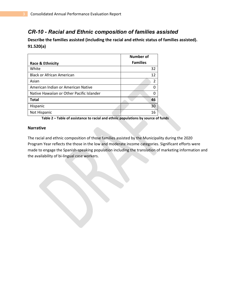## *CR-10 - Racial and Ethnic composition of families assisted*

**Describe the families assisted (including the racial and ethnic status of families assisted). 91.520(a)** 

|                                           | <b>Number of</b> |
|-------------------------------------------|------------------|
| Race & Ethnicity                          | <b>Families</b>  |
| White                                     | 32               |
| <b>Black or African American</b>          | 12               |
| Asian                                     | $\overline{2}$   |
| American Indian or American Native        |                  |
| Native Hawaiian or Other Pacific Islander |                  |
| <b>Total</b>                              | 46               |
| Hispanic                                  | 30               |
| Not Hispanic                              | 16               |

**Table 2 – Table of assistance to racial and ethnic populations by source of funds**

#### **Narrative**

The racial and ethnic composition of those families assisted by the Municipality during the 2020 Program Year reflects the those in the low and moderate income categories. Significant efforts were made to engage the Spanish-speaking population including the translation of marketing information and the availability of bi-lingual case workers.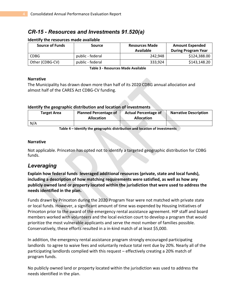## *CR-15 - Resources and Investments 91.520(a)*

## **Identify the resources made available**

| <b>Source of Funds</b> | <b>Source</b>    | <b>Resources Made</b><br>Available | <b>Amount Expended</b><br><b>During Program Year</b> |
|------------------------|------------------|------------------------------------|------------------------------------------------------|
| <b>CDBG</b>            | public - federal | 242.948                            | \$124,388.00                                         |
| Other (CDBG-CV)        | public - federal | 333,924                            | \$143,148.20                                         |

**Table 3 - Resources Made Available**

## **Narrative**

The Municipality has drawn down more than half of its 2020 CDBG annual allociation and almost half of the CARES Act CDBG-CV funding.

## **Identify the geographic distribution and location of investments**

| <b>Target Area</b> | <b>Planned Percentage of</b><br><b>Allocation</b> | <b>Actual Percentage of</b><br><b>Allocation</b> | <b>Narrative Description</b> |
|--------------------|---------------------------------------------------|--------------------------------------------------|------------------------------|
| N/A                |                                                   |                                                  |                              |

**Table 4 – Identify the geographic distribution and location of investments**

## **Narrative**

Not applicable. Princeton has opted not to identify a targeted geographic distribution for CDBG funds.

## *Leveraging*

**Explain how federal funds leveraged additional resources (private, state and local funds), including a description of how matching requirements were satisfied, as well as how any publicly owned land or property located within the jurisdiction that were used to address the needs identified in the plan.**

Funds drawn by Princeton during the 2020 Program Year were not matched with private state or local funds. However, a significant amount of time was expended by Housing Initiatives of Princeton prior to the award of the emergency rental assistance agreement. HIP staff and board members worked with volunteers and the local eviction court to develop a program that would prioritize the most vulnerable applicants and serve the most number of families possible. Conservatively, these efforts resulted in a in-kind match of at least \$5,000.

In addition, the emergency rental assistance program strongly encouraged participating landlords to agree to waive fees and voluntarily reduce total rent due by 20%. Nearly all of the participating landlords complied with this request – effectively creating a 20% match of program funds.

No publicly owned land or property located within the jurisdiction was used to address the needs identified in the plan.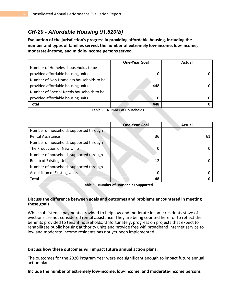## *CR-20 - Affordable Housing 91.520(b)*

**Evaluation of the jurisdiction's progress in providing affordable housing, including the number and types of families served, the number of extremely low-income, low-income, moderate-income, and middle-income persons served.**

|                                          | <b>One-Year Goal</b> | Actual |
|------------------------------------------|----------------------|--------|
| Number of Homeless households to be      |                      |        |
| provided affordable housing units        | 0                    |        |
| Number of Non-Homeless households to be  |                      |        |
| provided affordable housing units        | 448                  |        |
| Number of Special-Needs households to be |                      |        |
| provided affordable housing units        | 0                    |        |
| <b>Total</b>                             | 448                  |        |

**Table 5 – Number of Households**

|                                        | <b>One-Year Goal</b> | Actual |
|----------------------------------------|----------------------|--------|
| Number of households supported through |                      |        |
| <b>Rental Assistance</b>               | 36                   | 61     |
| Number of households supported through |                      |        |
| The Production of New Units            | 0                    |        |
| Number of households supported through |                      |        |
| <b>Rehab of Existing Units</b>         | 12                   |        |
| Number of households supported through |                      |        |
| <b>Acquisition of Existing Units</b>   | 0                    |        |
| <b>Total</b>                           | 48                   |        |

**Table 6 – Number of Households Supported**

## **Discuss the difference between goals and outcomes and problems encountered in meeting these goals.**

While subsistence payments provided to help low and moderate income residents stave of evictions are not considered rental assistance. They are being counted here for to reflect the benefits provided to tenant households. Unfortunately, progress on projects that expect to rehabilitate public housing authority units and provide free wifi broadband internet service to low and moderate income residents has not yet been implemented.

## **Discuss how these outcomes will impact future annual action plans.**

The outcomes for the 2020 Program Year were not significant enough to impact future annual action plans.

## **Include the number of extremely low-income, low-income, and moderate-income persons**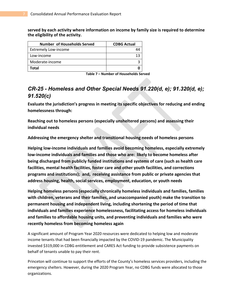**served by each activity where information on income by family size is required to determine the eligibility of the activity.**

| <b>Number of Households Served</b> | <b>CDBG Actual</b> |
|------------------------------------|--------------------|
| <b>Extremely Low-income</b>        |                    |
| Low-income                         |                    |
| Moderate-income                    |                    |
| Total                              |                    |

**Table 7 – Number of Households Served**

## *CR-25 - Homeless and Other Special Needs 91.220(d, e); 91.320(d, e); 91.520(c)*

**Evaluate the jurisdiction's progress in meeting its specific objectives for reducing and ending homelessness through:**

**Reaching out to homeless persons (especially unsheltered persons) and assessing their individual needs**

**Addressing the emergency shelter and transitional housing needs of homeless persons**

**Helping low-income individuals and families avoid becoming homeless, especially extremely low-income individuals and families and those who are: likely to become homeless after being discharged from publicly funded institutions and systems of care (such as health care facilities, mental health facilities, foster care and other youth facilities, and corrections programs and institutions); and, receiving assistance from public or private agencies that address housing, health, social services, employment, education, or youth needs**

**Helping homeless persons (especially chronically homeless individuals and families, families with children, veterans and their families, and unaccompanied youth) make the transition to permanent housing and independent living, including shortening the period of time that individuals and families experience homelessness, facilitating access for homeless individuals and families to affordable housing units, and preventing individuals and families who were recently homeless from becoming homeless again**

A significant amount of Program Year 2020 resources were dedicated to helping low and moderate income tenants that had been financially impacted by the COVID-19 pandemic. The Municipality invested \$319,000 in CDBG entitlement and CARES Act funding to provide subsistence payments on behalf of tenants unable to pay their rent.

Princeton will continue to support the efforts of the County's homeless services providers, including the emergency shelters. However, during the 2020 Program Year, no CDBG funds were allocated to those organizations.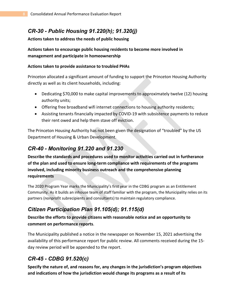## *CR-30 - Public Housing 91.220(h); 91.320(j)*

## **Actions taken to address the needs of public housing**

## **Actions taken to encourage public housing residents to become more involved in management and participate in homeownership**

## **Actions taken to provide assistance to troubled PHAs**

Princeton allocated a significant amount of funding to support the Princeton Housing Authority directly as well as its client households, including:

- Dedicating \$70,000 to make capital improvements to approximately twelve (12) housing authority units;
- Offering free broadband wifi internet connections to housing authority residents;
- Assisting tenants financially impacted by COVID-19 with subsistence payments to reduce their rent owed and help them stave off eviction.

The Princeton Housing Authority has not been given the designation of "troubled" by the US Department of Housing & Urban Development.

## *CR-40 - Monitoring 91.220 and 91.230*

**Describe the standards and procedures used to monitor activities carried out in furtherance of the plan and used to ensure long-term compliance with requirements of the programs involved, including minority business outreach and the comprehensive planning requirements**

The 2020 Program Year marks the Municipality's first year in the CDBG program as an Entitlement Community. As it builds an inhouse team of staff familiar with the program, the Municipality relies on its partners (nonprofit subrecipients and consultants) to maintain regulatory compliance.

## *Citizen Participation Plan 91.105(d); 91.115(d)*

## **Describe the efforts to provide citizens with reasonable notice and an opportunity to comment on performance reports**.

The Municipality published a notice in the newspaper on November 15, 2021 advertising the availability of this performance report for public review. All comments received during the 15 day review period will be appended to the report.

## *CR-45 - CDBG 91.520(c)*

**Specify the nature of, and reasons for, any changes in the jurisdiction's program objectives and indications of how the jurisdiction would change its programs as a result of its**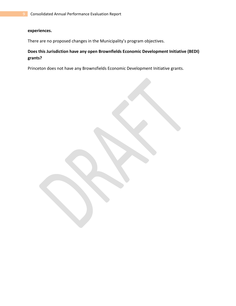## **experiences.**

There are no proposed changes in the Municipality's program objectives.

## **Does this Jurisdiction have any open Brownfields Economic Development Initiative (BEDI) grants?**

Princeton does not have any Brownsfields Economic Development Initiative grants.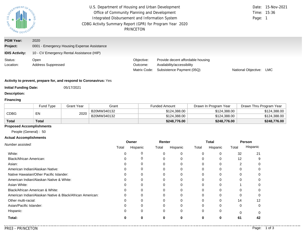| PARTMENTOR<br><b>S</b><br><b>AND</b><br>URBAN DE      | U.S. Department of Housing and Urban Development<br>Office of Community Planning and Development<br>Integrated Disbursement and Information System<br>CDBG Activity Summary Report (GPR) for Program Year 2020<br>PRINCETON | Page:                                  | Date: 15-Nov-2021<br>Time: 15:36                                                             |                     |     |
|-------------------------------------------------------|-----------------------------------------------------------------------------------------------------------------------------------------------------------------------------------------------------------------------------|----------------------------------------|----------------------------------------------------------------------------------------------|---------------------|-----|
| <b>PGM Year:</b><br>Project:<br><b>IDIS Activity:</b> | 2020<br>0001 - Emergency Housing Expense Assistance<br>10 - CV Emergency Rental Assistance (HIP)                                                                                                                            |                                        |                                                                                              |                     |     |
| Status:<br>Location:                                  | Open<br><b>Address Suppressed</b>                                                                                                                                                                                           | Objective:<br>Outcome:<br>Matrix Code: | Provide decent affordable housing<br>Availability/accessibility<br>Subsistence Payment (05Q) | National Objective: | LMC |

#### **Activity to prevent, prepare for, and respond to Coronavirus:** Yes

**Initial Funding Date:** 05/17/2021

**Description:**

#### **Financing**

|              | Fund Type | <b>Grant Year</b> | Grant       | Funded Amount | Drawn In Program Year | Drawn Thru Program Year |
|--------------|-----------|-------------------|-------------|---------------|-----------------------|-------------------------|
|              | EN        | 2020              | B20MW340132 | \$124,388.00  | \$124,388,00          | \$124,388.00            |
| <b>CDBG</b>  |           |                   | B20MW340132 | \$124,388.00  | \$124,388,00          | \$124,388.00            |
| <b>Total</b> | Total     |                   |             | \$248,776.00  | \$248,776.00          | \$248,776.00            |

## **Proposed Accomplishments**

People (General) : 50

#### **Actual Accomplishments**

|                                                          | Owner<br>Renter |          |       |          | Total | Total<br>32<br>12<br>2<br>0<br>14<br>$\Omega$<br>$\cap$<br>61<br>0 | Person |          |
|----------------------------------------------------------|-----------------|----------|-------|----------|-------|--------------------------------------------------------------------|--------|----------|
| Number assisted:                                         | Total           | Hispanic | Total | Hispanic | Total | Hispanic                                                           |        | Hispanic |
| White:                                                   |                 |          | 0     | 0        |       |                                                                    |        | 21       |
| Black/African American:                                  |                 |          |       | 0        |       |                                                                    |        |          |
| Asian:                                                   |                 |          |       | $\Omega$ |       |                                                                    |        |          |
| American Indian/Alaskan Native:                          | 0               |          |       | 0        |       |                                                                    |        |          |
| Native Hawaiian/Other Pacific Islander:                  |                 | 0        | 0     | 0        |       |                                                                    |        |          |
| American Indian/Alaskan Native & White:                  |                 |          |       | $\Omega$ |       |                                                                    |        |          |
| Asian White:                                             |                 |          |       | 0        |       |                                                                    |        |          |
| Black/African American & White:                          |                 |          | 0     | $\Omega$ |       |                                                                    |        |          |
| American Indian/Alaskan Native & Black/African American: |                 |          |       | $\Omega$ |       |                                                                    |        |          |
| Other multi-racial:                                      | 0               | O        |       | 0        |       |                                                                    |        | 12       |
| Asian/Pacific Islander:                                  |                 |          | 0     | $\Omega$ |       |                                                                    |        |          |
| Hispanic:                                                |                 | 0        | 0     | $\Omega$ |       |                                                                    |        |          |
| Total:                                                   | o               |          | 0     | 0        |       |                                                                    |        | 42       |
|                                                          |                 |          |       |          |       |                                                                    |        |          |

. . . .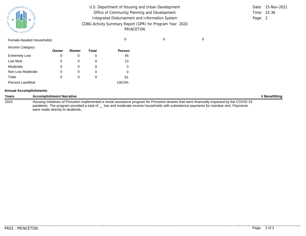| SUPATMENTOF HOL    |  |
|--------------------|--|
| <b>MAG</b>         |  |
| DEVELOPAL<br>URBAN |  |

| U.S. Department of Housing and Urban Development                      |         | Date: 15-Nov-2021 |
|-----------------------------------------------------------------------|---------|-------------------|
| Office of Community Planning and Development                          |         | Time: 15:36       |
| Integrated Disbursement and Information System                        | Page: 2 |                   |
| CDBG Activity Summary Report (GPR) for Program Year 2020<br>PRINCETON |         |                   |

Female-headed Households: 0 0 0

*Income Category:*

|                      | Owner | Renter | Total | <b>Person</b> |
|----------------------|-------|--------|-------|---------------|
| <b>Extremely Low</b> | 0     |        |       | 45            |
| Low Mod              | 0     |        | O     | 13            |
| Moderate             | 0     |        |       | 3             |
| Non Low Moderate     | 0     |        | O     | Ω             |
| Total                | 0     | 0      | 0     | 61            |
| Percent Low/Mod      |       |        |       | 100.0%        |

#### **Annual Accomplishments**

| Years | <b>Accomplishment Narrative</b>                                                                                                                                                                                                                                                    | # Benefitting |
|-------|------------------------------------------------------------------------------------------------------------------------------------------------------------------------------------------------------------------------------------------------------------------------------------|---------------|
| 2020  | Housing Initiatives of Princeton implemented a rental assistance program for Princeton tenants that were financially impacted by the COVID-19<br>pandemic. The program provided a total of low and moderate income households with subsistence payments for overdue rent. Payments |               |
|       | were made directly to landlords.                                                                                                                                                                                                                                                   |               |

. . . . . . . .

. . . . . . . . . . . . .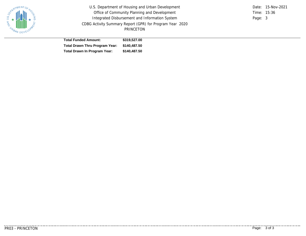

U.S. Department of Housing and Urban Development Office of Community Planning and Development Integrated Disbursement and Information System CDBG Activity Summary Report (GPR) for Program Year 2020 PRINCETON

Time: 15:36 Page: 3 Date: 15-Nov-2021

| <b>Total Funded Amount:</b>                 | \$319,527,00 |
|---------------------------------------------|--------------|
| Total Drawn Thru Program Year: \$140,487.50 |              |
| Total Drawn In Program Year:                | \$140,487.50 |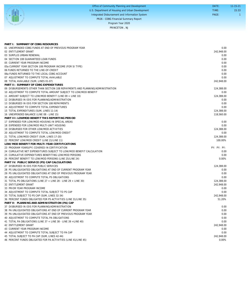|                | Office of Community Planning and Development     | DATE: | $11 - 15 - 21$ |
|----------------|--------------------------------------------------|-------|----------------|
|                | U.S. Department of Housing and Urban Development | TIME: | 15:33          |
|                | Integrated Disbursement and Information System   | PAGE: |                |
| <b>ANDERED</b> | PR26 - CDBG Financial Summary Report             |       |                |
|                | Program Year 2020                                |       |                |
|                | PRINCETON, NJ                                    |       |                |

| PART I: SUMMARY OF CDBG RESOURCES                                              |             |
|--------------------------------------------------------------------------------|-------------|
| 01 UNEXPENDED CDBG FUNDS AT END OF PREVIOUS PROGRAM YEAR                       | 0.00        |
| 02 ENTITLEMENT GRANT                                                           | 242.948.00  |
| 03 SURPLUS URBAN RENEWAL                                                       | 0.00        |
| 04 SECTION 108 GUARANTEED LOAN FUNDS                                           | 0.00        |
| 05 CURRENT YEAR PROGRAM INCOME                                                 | 0.00        |
| 05a CURRENT YEAR SECTION 108 PROGRAM INCOME (FOR SI TYPE)                      | 0.00        |
| 06 FUNDS RETURNED TO THE LINE-OF-CREDIT                                        | 0.00        |
| 06a FUNDS RETURNED TO THE LOCAL CDBG ACCOUNT                                   | 0.00        |
| 07 ADJUSTMENT TO COMPUTE TOTAL AVAILABLE                                       | 0.00        |
| 08 TOTAL AVAILABLE (SUM, LINES 01-07)                                          | 242,948.00  |
| PART II: SUMMARY OF CDBG EXPENDITURES                                          |             |
| 09 DISBURSEMENTS OTHER THAN SECTION 108 REPAYMENTS AND PLANNING/ADMINISTRATION | 124,388.00  |
| 10 ADJUSTMENT TO COMPUTE TOTAL AMOUNT SUBJECT TO LOW/MOD BENEFIT               | 0.00        |
| 11 AMOUNT SUBJECT TO LOW/MOD BENEFIT (LINE 09 + LINE 10)                       | 124,388.00  |
| 12 DISBURSED IN IDIS FOR PLANNING/ADMINISTRATION                               | 0.00        |
| 13 DISBURSED IN IDIS FOR SECTION 108 REPAYMENTS                                | 0.00        |
| 14 ADJUSTMENT TO COMPUTE TOTAL EXPENDITURES                                    | 0.00        |
| 15 TOTAL EXPENDITURES (SUM, LINES 11-14)                                       | 124,388.00  |
| 16 UNEXPENDED BALANCE (LINE 08 - LINE 15)                                      | 118,560.00  |
| PART III: LOWMOD BENEFIT THIS REPORTING PERIOD                                 |             |
| 17 EXPENDED FOR LOW/MOD HOUSING IN SPECIAL AREAS                               | 0.00        |
| 18 EXPENDED FOR LOW/MOD MULTI-UNIT HOUSING                                     | 0.00        |
| 19 DISBURSED FOR OTHER LOW/MOD ACTIVITIES                                      | 124.388.00  |
| 20 ADJUSTMENT TO COMPUTE TOTAL LOW/MOD CREDIT                                  | 0.00        |
| 21 TOTAL LOW/MOD CREDIT (SUM, LINES 17-20)                                     | 124,388.00  |
| 22 PERCENT LOW/MOD CREDIT (LINE 21/LINE 11)                                    | 100.00%     |
| LOW/MOD BENEFIT FOR MULTI-YEAR CERTIFICATIONS                                  |             |
|                                                                                | PY: PY: PY: |
| 23 PROGRAM YEARS(PY) COVERED IN CERTIFICATION                                  |             |
| 24 CUMULATIVE NET EXPENDITURES SUBJECT TO LOW/MOD BENEFIT CALCULATION          | 0.00        |
| 25 CUMULATIVE EXPENDITURES BENEFITING LOW/MOD PERSONS                          | 0.00        |
| 26 PERCENT BENEFIT TO LOW/MOD PERSONS (LINE 25/LINE 24)                        | 0.00%       |
| PART IV: PUBLIC SERVICE (PS) CAP CALCULATIONS                                  |             |
| 27 DISBURSED IN IDIS FOR PUBLIC SERVICES                                       | 124,388.00  |
| 28 PS UNLIQUIDATED OBLIGATIONS AT END OF CURRENT PROGRAM YEAR                  | 0.00        |
| 29 PS UNLIQUIDATED OBLIGATIONS AT END OF PREVIOUS PROGRAM YEAR                 | 0.00        |
| 30 ADJUSTMENT TO COMPUTE TOTAL PS OBLIGATIONS                                  | 0.00        |
| 31 TOTAL PS OBLIGATIONS (LINE 27 + LINE 28 - LINE 29 + LINE 30)                | 124.388.00  |
| 32 ENTITLEMENT GRANT                                                           | 242,948.00  |
| 33 PRIOR YEAR PROGRAM INCOME                                                   | 0.00        |
| 34 ADJUSTMENT TO COMPUTE TOTAL SUBJECT TO PS CAP                               | 0.00        |
| 35 TOTAL SUBJECT TO PS CAP (SUM, LINES 32-34)                                  | 242,948.00  |
| 36 PERCENT FUNDS OBLIGATED FOR PS ACTIVITIES (LINE 31/LINE 35)                 | 51.20%      |
| PART V: PLANNING AND ADMINISTRATION (PA) CAP                                   |             |
| 37 DISBURSED IN IDIS FOR PLANNING/ADMINISTRATION                               | 0.00        |
| 38 PA UNLIQUIDATED OBLIGATIONS AT END OF CURRENT PROGRAM YEAR                  | 0.00        |
| 39 PA UNLIQUIDATED OBLIGATIONS AT END OF PREVIOUS PROGRAM YEAR                 | 0.00        |
| 40 ADJUSTMENT TO COMPUTE TOTAL PA OBLIGATIONS                                  | 0.00        |
| 41 TOTAL PA OBLIGATIONS (LINE 37 + LINE 38 - LINE 39 + LINE 40)                | 0.00        |
| 42 ENTITLEMENT GRANT                                                           | 242,948.00  |
| 43 CURRENT YEAR PROGRAM INCOME                                                 | 0.00        |
| 44 ADJUSTMENT TO COMPUTE TOTAL SUBJECT TO PA CAP                               | 0.00        |
| 45 TOTAL SUBJECT TO PA CAP (SUM, LINES 42-44)                                  | 242,948.00  |
| 46 PERCENT FUNDS OBLIGATED FOR PA ACTIVITIES (LINE 41/LINE 45)                 | 0.00%       |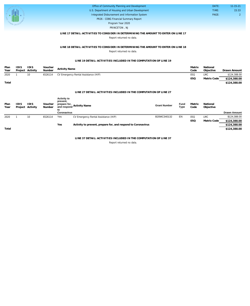| Office of Community Planning and Development     | DATE: | 11-15-21 |
|--------------------------------------------------|-------|----------|
| U.S. Department of Housing and Urban Development | TIME: | 15:33    |
| Integrated Disbursement and Information System   | PAGE: |          |
| PR26 - CDBG Financial Summary Report             |       |          |
| Program Year 2020                                |       |          |

#### PRINCETON , NJ

#### **LINE 17 DETAIL: ACTIVITIES TO CONSIDER IN DETERMINING THE AMOUNT TO ENTER ON LINE 17**

Report returned no data.

#### **LINE 18 DETAIL: ACTIVITIES TO CONSIDER IN DETERMINING THE AMOUNT TO ENTER ON LINE 18** Report returned no data.

#### **LINE 19 DETAIL: ACTIVITIES INCLUDED IN THE COMPUTATION OF LINE 19**

| Plan<br>Year | <b>IDIS</b> | IDIS<br>Project Activity | Voucher<br>Number | <b>Activity Name</b>                 | Matrix<br>Code | National<br>Objective | Drawn Amount |
|--------------|-------------|--------------------------|-------------------|--------------------------------------|----------------|-----------------------|--------------|
| 2020         |             | 10                       | 6526114           | CV Emergency Rental Assistance (HIP) | 05Q            | LMC                   | \$124,388.00 |
|              |             |                          |                   |                                      | 050            | Matrix Code           | \$124,388.00 |
| Total        |             |                          |                   |                                      |                |                       | \$124,388.00 |

#### **LINE 27 DETAIL: ACTIVITIES INCLUDED IN THE COMPUTATION OF LINE 27**

| Plan<br>Year | IDIS | IDIS<br>Project Activity | Voucher<br>Number | <b>Activity to</b><br>prevent,<br>prepare for,<br>to | and respond Activity Name                                    | <b>Grant Number</b> | Fund<br>Type | Matrix<br>Code | National<br>Objective |                     |
|--------------|------|--------------------------|-------------------|------------------------------------------------------|--------------------------------------------------------------|---------------------|--------------|----------------|-----------------------|---------------------|
|              |      |                          |                   | Coronavirus                                          |                                                              |                     |              |                |                       | <b>Drawn Amount</b> |
| 2020         |      | 10                       | 6526114           | Yes                                                  | CV Emergency Rental Assistance (HIP)                         | B20MC340132         | EN           | 050            | LMC                   | \$124,388.00        |
|              |      |                          |                   |                                                      |                                                              |                     |              | 050            | Matrix Code           | \$124,388.00        |
|              |      |                          |                   | Yes                                                  | Activity to prevent, prepare for, and respond to Coronavirus |                     |              |                |                       | \$124,388.00        |
| Total        |      |                          |                   |                                                      |                                                              |                     |              |                |                       | \$124,388.00        |

**LINE 37 DETAIL: ACTIVITIES INCLUDED IN THE COMPUTATION OF LINE 37**

Report returned no data.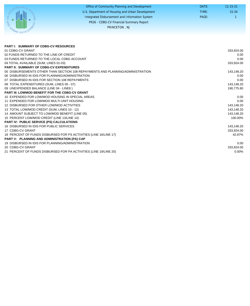|                                         | Office of Community Planning and Development     | DATE: | $11 - 15 - 21$ |
|-----------------------------------------|--------------------------------------------------|-------|----------------|
|                                         | U.S. Department of Housing and Urban Development | TIME: | 15:34          |
| $1S$ $D_{\mathcal{E}}$<br>$\frac{1}{2}$ | Integrated Disbursement and Information System   | PAGE: |                |
|                                         | PR26 - CDBG-CV Financial Summary Report          |       |                |
| $\mathcal{C}_{\mathcal{A}}$ .           | PRINCETON, NJ                                    |       |                |
|                                         |                                                  |       |                |

| <b>PART I: SUMMARY OF CDBG-CV RESOURCES</b>                                    |            |
|--------------------------------------------------------------------------------|------------|
| 01 CDBG-CV GRANT                                                               | 333,924.00 |
| 02 FUNDS RETURNED TO THE LINE-OF-CREDIT                                        | 0.00       |
| 03 FUNDS RETURNED TO THE LOCAL CDBG ACCOUNT                                    | 0.00       |
| 04 TOTAL AVAILABLE (SUM, LINES 01-03)                                          | 333,924.00 |
| <b>PART II: SUMMARY OF CDBG-CV EXPENDITURES</b>                                |            |
| 05 DISBURSEMENTS OTHER THAN SECTION 108 REPAYMENTS AND PLANNING/ADMINISTRATION | 143,148.20 |
| 06 DISBURSED IN IDIS FOR PLANNING/ADMINISTRATION                               | 0.00       |
| 07 DISBURSED IN IDIS FOR SECTION 108 REPAYMENTS                                | 0.00       |
| 08 TOTAL EXPENDITURES (SUM, LINES 05 - 07)                                     | 143,148.20 |
| 09 UNEXPENDED BALANCE (LINE 04 - LINE8)                                        | 190,775.80 |
| <b>PART III: LOWMOD BENEFIT FOR THE CDBG-CV GRANT</b>                          |            |
| 10 EXPENDED FOR LOW/MOD HOUSING IN SPECIAL AREAS                               | 0.00       |
| 11 EXPENDED FOR LOW/MOD MULTI-UNIT HOUSING                                     | 0.00       |
| 12 DISBURSED FOR OTHER LOW/MOD ACTIVITIES                                      | 143,148.20 |
| 13 TOTAL LOW/MOD CREDIT (SUM, LINES 10 - 12)                                   | 143,148.20 |
| 14 AMOUNT SUBJECT TO LOW/MOD BENEFIT (LINE 05)                                 | 143,148.20 |
| 15 PERCENT LOW/MOD CREDIT (LINE 13/LINE 14)                                    | 100.00%    |
| PART IV: PUBLIC SERVICE (PS) CALCULATIONS                                      |            |
| 16 DISBURSED IN IDIS FOR PUBLIC SERVICES                                       | 143,148.20 |
| 17 CDBG-CV GRANT                                                               | 333,924.00 |
| 18 PERCENT OF FUNDS DISBURSED FOR PS ACTIVITIES (LINE 16/LINE 17)              | 42.87%     |
| PART V: PLANNING AND ADMINISTRATION (PA) CAP                                   |            |
| 19 DISBURSED IN IDIS FOR PLANNING/ADMINISTRATION                               | 0.00       |
| 20 CDBG-CV GRANT                                                               | 333,924.00 |
| 21 PERCENT OF FUNDS DISBURSED FOR PA ACTIVITIES (LINE 19/LINE 20)              | $0.00\%$   |